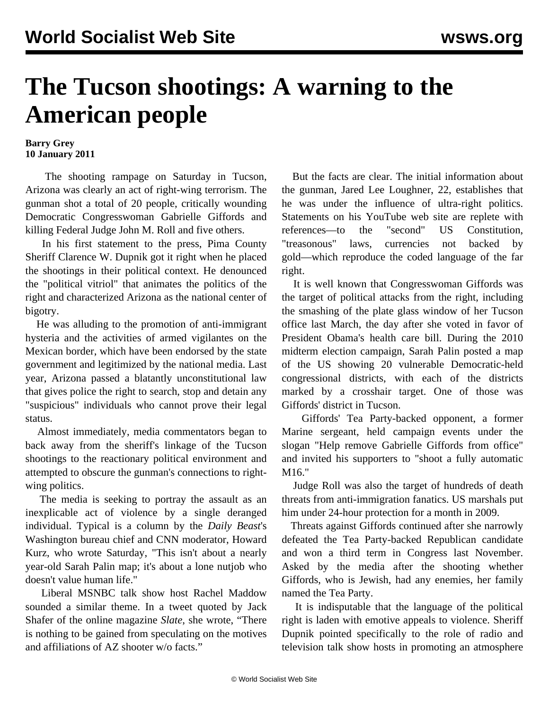## **The Tucson shootings: A warning to the American people**

## **Barry Grey 10 January 2011**

 The shooting rampage on Saturday in Tucson, Arizona was clearly an act of right-wing terrorism. The gunman shot a total of 20 people, critically wounding Democratic Congresswoman Gabrielle Giffords and killing Federal Judge John M. Roll and five others.

 In his first statement to the press, Pima County Sheriff Clarence W. Dupnik got it right when he placed the shootings in their political context. He denounced the "political vitriol" that animates the politics of the right and characterized Arizona as the national center of bigotry.

 He was alluding to the promotion of anti-immigrant hysteria and the activities of armed vigilantes on the Mexican border, which have been endorsed by the state government and legitimized by the national media. Last year, Arizona passed a blatantly unconstitutional law that gives police the right to search, stop and detain any "suspicious" individuals who cannot prove their legal status.

 Almost immediately, media commentators began to back away from the sheriff's linkage of the Tucson shootings to the reactionary political environment and attempted to obscure the gunman's connections to rightwing politics.

 The media is seeking to portray the assault as an inexplicable act of violence by a single deranged individual. Typical is a column by the *Daily Beast*'s Washington bureau chief and CNN moderator, Howard Kurz, who wrote Saturday, "This isn't about a nearly year-old Sarah Palin map; it's about a lone nutjob who doesn't value human life."

 Liberal MSNBC talk show host Rachel Maddow sounded a similar theme. In a tweet quoted by Jack Shafer of the online magazine *Slate*, she wrote, "There is nothing to be gained from speculating on the motives and affiliations of AZ shooter w/o facts."

 But the facts are clear. The initial information about the gunman, Jared Lee Loughner, 22, establishes that he was under the influence of ultra-right politics. Statements on his YouTube web site are replete with references—to the "second" US Constitution, "treasonous" laws, currencies not backed by gold—which reproduce the coded language of the far right.

 It is well known that Congresswoman Giffords was the target of political attacks from the right, including the smashing of the plate glass window of her Tucson office last March, the day after she voted in favor of President Obama's health care bill. During the 2010 midterm election campaign, Sarah Palin posted a map of the US showing 20 vulnerable Democratic-held congressional districts, with each of the districts marked by a crosshair target. One of those was Giffords' district in Tucson.

 Giffords' Tea Party-backed opponent, a former Marine sergeant, held campaign events under the slogan "Help remove Gabrielle Giffords from office" and invited his supporters to "shoot a fully automatic M16."

 Judge Roll was also the target of hundreds of death threats from anti-immigration fanatics. US marshals put him under 24-hour protection for a month in 2009.

 Threats against Giffords continued after she narrowly defeated the Tea Party-backed Republican candidate and won a third term in Congress last November. Asked by the media after the shooting whether Giffords, who is Jewish, had any enemies, her family named the Tea Party.

 It is indisputable that the language of the political right is laden with emotive appeals to violence. Sheriff Dupnik pointed specifically to the role of radio and television talk show hosts in promoting an atmosphere